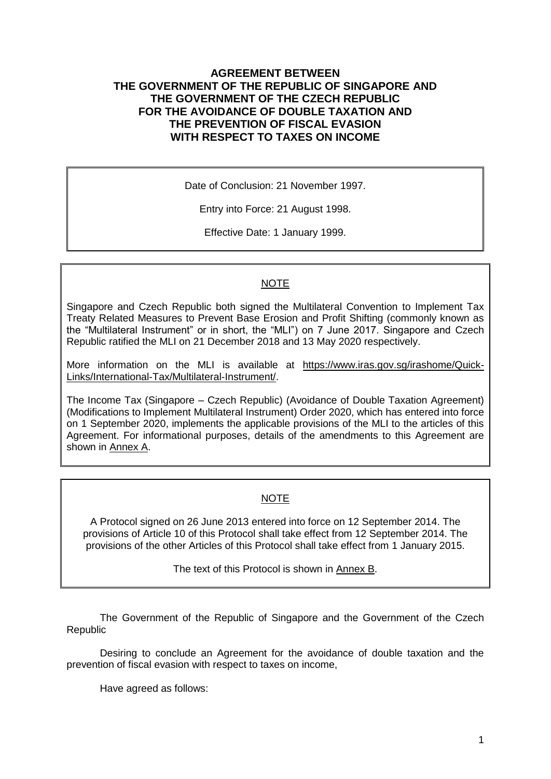#### **AGREEMENT BETWEEN THE GOVERNMENT OF THE REPUBLIC OF SINGAPORE AND THE GOVERNMENT OF THE CZECH REPUBLIC FOR THE AVOIDANCE OF DOUBLE TAXATION AND THE PREVENTION OF FISCAL EVASION WITH RESPECT TO TAXES ON INCOME**

Date of Conclusion: 21 November 1997.

Entry into Force: 21 August 1998.

Effective Date: 1 January 1999.

#### NOTE

Singapore and Czech Republic both signed the Multilateral Convention to Implement Tax Treaty Related Measures to Prevent Base Erosion and Profit Shifting (commonly known as the "Multilateral Instrument" or in short, the "MLI") on 7 June 2017. Singapore and Czech Republic ratified the MLI on 21 December 2018 and 13 May 2020 respectively.

More information on the MLI is available at https://www.iras.gov.sg/irashome/Quick-Links/International-Tax/Multilateral-Instrument/.

The Income Tax (Singapore – Czech Republic) (Avoidance of Double Taxation Agreement) (Modifications to Implement Multilateral Instrument) Order 2020, which has entered into force on 1 September 2020, implements the applicable provisions of the MLI to the articles of this Agreement. For informational purposes, details of the amendments to this Agreement are shown in Annex A.

## NOTE

A Protocol signed on 26 June 2013 entered into force on 12 September 2014. The provisions of Article 10 of this Protocol shall take effect from 12 September 2014. The provisions of the other Articles of this Protocol shall take effect from 1 January 2015.

The text of this Protocol is shown in Annex B.

The Government of the Republic of Singapore and the Government of the Czech Republic

Desiring to conclude an Agreement for the avoidance of double taxation and the prevention of fiscal evasion with respect to taxes on income,

Have agreed as follows: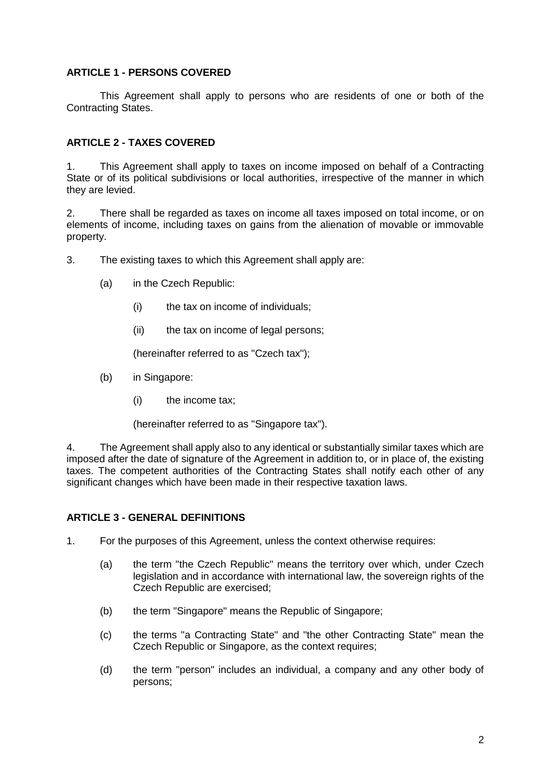#### **ARTICLE 1 - PERSONS COVERED**

This Agreement shall apply to persons who are residents of one or both of the Contracting States.

#### **ARTICLE 2 - TAXES COVERED**

1. This Agreement shall apply to taxes on income imposed on behalf of a Contracting State or of its political subdivisions or local authorities, irrespective of the manner in which they are levied.

2. There shall be regarded as taxes on income all taxes imposed on total income, or on elements of income, including taxes on gains from the alienation of movable or immovable property.

3. The existing taxes to which this Agreement shall apply are:

- (a) in the Czech Republic:
	- (i) the tax on income of individuals;
	- (ii) the tax on income of legal persons;

(hereinafter referred to as "Czech tax");

- (b) in Singapore:
	- (i) the income tax;

(hereinafter referred to as "Singapore tax").

4. The Agreement shall apply also to any identical or substantially similar taxes which are imposed after the date of signature of the Agreement in addition to, or in place of, the existing taxes. The competent authorities of the Contracting States shall notify each other of any significant changes which have been made in their respective taxation laws.

#### **ARTICLE 3 - GENERAL DEFINITIONS**

- 1. For the purposes of this Agreement, unless the context otherwise requires:
	- (a) the term "the Czech Republic" means the territory over which, under Czech legislation and in accordance with international law, the sovereign rights of the Czech Republic are exercised;
	- (b) the term "Singapore" means the Republic of Singapore;
	- (c) the terms "a Contracting State" and "the other Contracting State" mean the Czech Republic or Singapore, as the context requires;
	- (d) the term "person" includes an individual, a company and any other body of persons;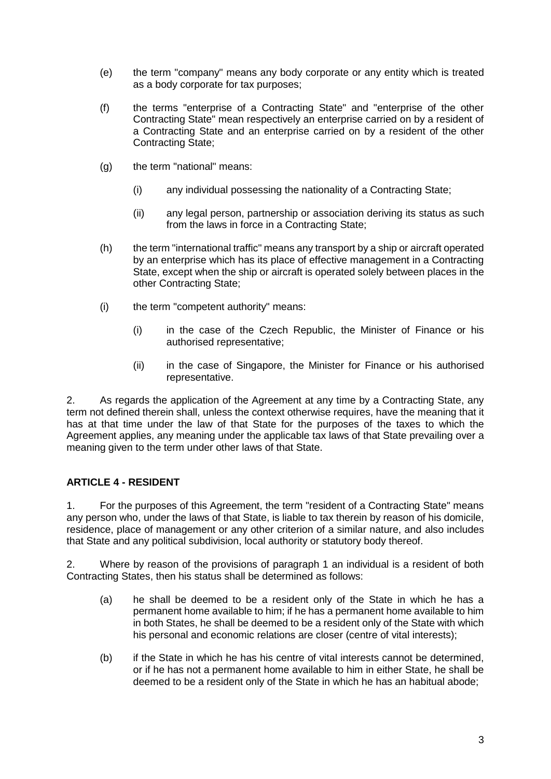- (e) the term "company" means any body corporate or any entity which is treated as a body corporate for tax purposes;
- (f) the terms "enterprise of a Contracting State" and "enterprise of the other Contracting State" mean respectively an enterprise carried on by a resident of a Contracting State and an enterprise carried on by a resident of the other Contracting State;
- (g) the term "national" means:
	- (i) any individual possessing the nationality of a Contracting State;
	- (ii) any legal person, partnership or association deriving its status as such from the laws in force in a Contracting State;
- (h) the term "international traffic" means any transport by a ship or aircraft operated by an enterprise which has its place of effective management in a Contracting State, except when the ship or aircraft is operated solely between places in the other Contracting State;
- (i) the term "competent authority" means:
	- (i) in the case of the Czech Republic, the Minister of Finance or his authorised representative;
	- (ii) in the case of Singapore, the Minister for Finance or his authorised representative.

2. As regards the application of the Agreement at any time by a Contracting State, any term not defined therein shall, unless the context otherwise requires, have the meaning that it has at that time under the law of that State for the purposes of the taxes to which the Agreement applies, any meaning under the applicable tax laws of that State prevailing over a meaning given to the term under other laws of that State.

## **ARTICLE 4 - RESIDENT**

1. For the purposes of this Agreement, the term "resident of a Contracting State" means any person who, under the laws of that State, is liable to tax therein by reason of his domicile, residence, place of management or any other criterion of a similar nature, and also includes that State and any political subdivision, local authority or statutory body thereof.

2. Where by reason of the provisions of paragraph 1 an individual is a resident of both Contracting States, then his status shall be determined as follows:

- (a) he shall be deemed to be a resident only of the State in which he has a permanent home available to him; if he has a permanent home available to him in both States, he shall be deemed to be a resident only of the State with which his personal and economic relations are closer (centre of vital interests);
- (b) if the State in which he has his centre of vital interests cannot be determined, or if he has not a permanent home available to him in either State, he shall be deemed to be a resident only of the State in which he has an habitual abode;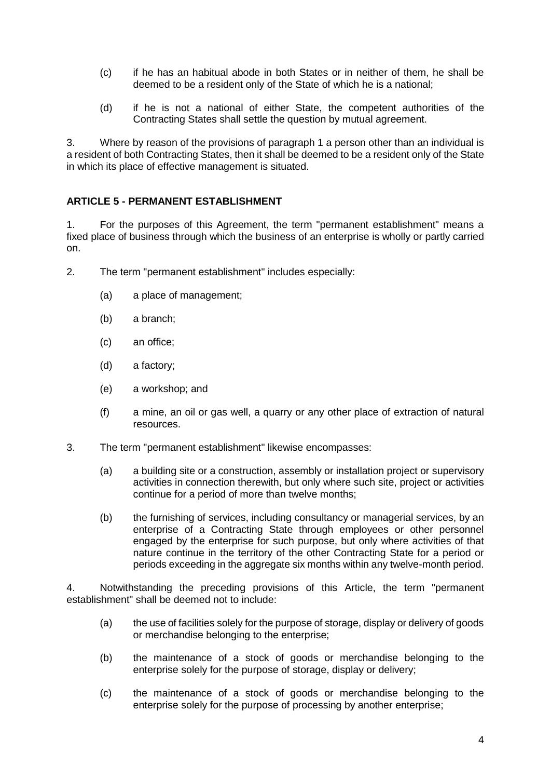- (c) if he has an habitual abode in both States or in neither of them, he shall be deemed to be a resident only of the State of which he is a national;
- (d) if he is not a national of either State, the competent authorities of the Contracting States shall settle the question by mutual agreement.

3. Where by reason of the provisions of paragraph 1 a person other than an individual is a resident of both Contracting States, then it shall be deemed to be a resident only of the State in which its place of effective management is situated.

## **ARTICLE 5 - PERMANENT ESTABLISHMENT**

1. For the purposes of this Agreement, the term "permanent establishment" means a fixed place of business through which the business of an enterprise is wholly or partly carried on.

- 2. The term "permanent establishment" includes especially:
	- (a) a place of management;
	- (b) a branch;
	- (c) an office;
	- (d) a factory;
	- (e) a workshop; and
	- (f) a mine, an oil or gas well, a quarry or any other place of extraction of natural resources.
- 3. The term "permanent establishment" likewise encompasses:
	- (a) a building site or a construction, assembly or installation project or supervisory activities in connection therewith, but only where such site, project or activities continue for a period of more than twelve months;
	- (b) the furnishing of services, including consultancy or managerial services, by an enterprise of a Contracting State through employees or other personnel engaged by the enterprise for such purpose, but only where activities of that nature continue in the territory of the other Contracting State for a period or periods exceeding in the aggregate six months within any twelve-month period.

4. Notwithstanding the preceding provisions of this Article, the term "permanent establishment" shall be deemed not to include:

- (a) the use of facilities solely for the purpose of storage, display or delivery of goods or merchandise belonging to the enterprise;
- (b) the maintenance of a stock of goods or merchandise belonging to the enterprise solely for the purpose of storage, display or delivery;
- (c) the maintenance of a stock of goods or merchandise belonging to the enterprise solely for the purpose of processing by another enterprise;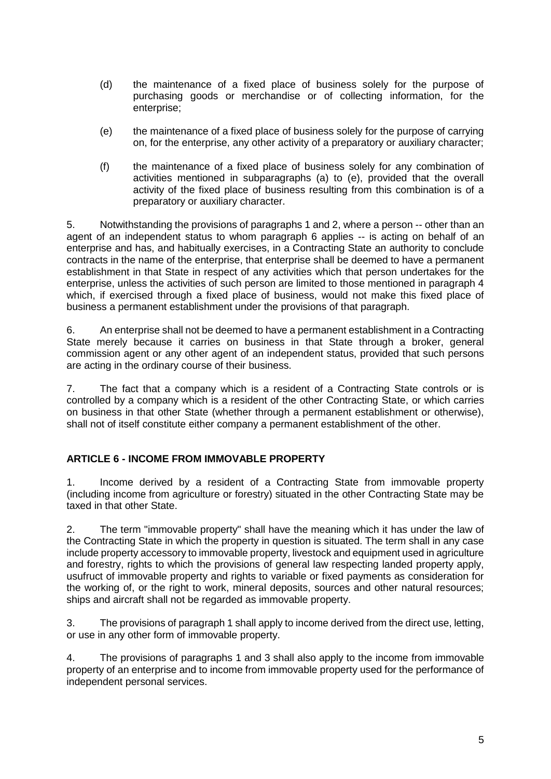- (d) the maintenance of a fixed place of business solely for the purpose of purchasing goods or merchandise or of collecting information, for the enterprise;
- (e) the maintenance of a fixed place of business solely for the purpose of carrying on, for the enterprise, any other activity of a preparatory or auxiliary character;
- (f) the maintenance of a fixed place of business solely for any combination of activities mentioned in subparagraphs (a) to (e), provided that the overall activity of the fixed place of business resulting from this combination is of a preparatory or auxiliary character.

5. Notwithstanding the provisions of paragraphs 1 and 2, where a person -- other than an agent of an independent status to whom paragraph 6 applies -- is acting on behalf of an enterprise and has, and habitually exercises, in a Contracting State an authority to conclude contracts in the name of the enterprise, that enterprise shall be deemed to have a permanent establishment in that State in respect of any activities which that person undertakes for the enterprise, unless the activities of such person are limited to those mentioned in paragraph 4 which, if exercised through a fixed place of business, would not make this fixed place of business a permanent establishment under the provisions of that paragraph.

6. An enterprise shall not be deemed to have a permanent establishment in a Contracting State merely because it carries on business in that State through a broker, general commission agent or any other agent of an independent status, provided that such persons are acting in the ordinary course of their business.

7. The fact that a company which is a resident of a Contracting State controls or is controlled by a company which is a resident of the other Contracting State, or which carries on business in that other State (whether through a permanent establishment or otherwise), shall not of itself constitute either company a permanent establishment of the other.

## **ARTICLE 6 - INCOME FROM IMMOVABLE PROPERTY**

1. Income derived by a resident of a Contracting State from immovable property (including income from agriculture or forestry) situated in the other Contracting State may be taxed in that other State.

2. The term "immovable property" shall have the meaning which it has under the law of the Contracting State in which the property in question is situated. The term shall in any case include property accessory to immovable property, livestock and equipment used in agriculture and forestry, rights to which the provisions of general law respecting landed property apply, usufruct of immovable property and rights to variable or fixed payments as consideration for the working of, or the right to work, mineral deposits, sources and other natural resources; ships and aircraft shall not be regarded as immovable property.

3. The provisions of paragraph 1 shall apply to income derived from the direct use, letting, or use in any other form of immovable property.

4. The provisions of paragraphs 1 and 3 shall also apply to the income from immovable property of an enterprise and to income from immovable property used for the performance of independent personal services.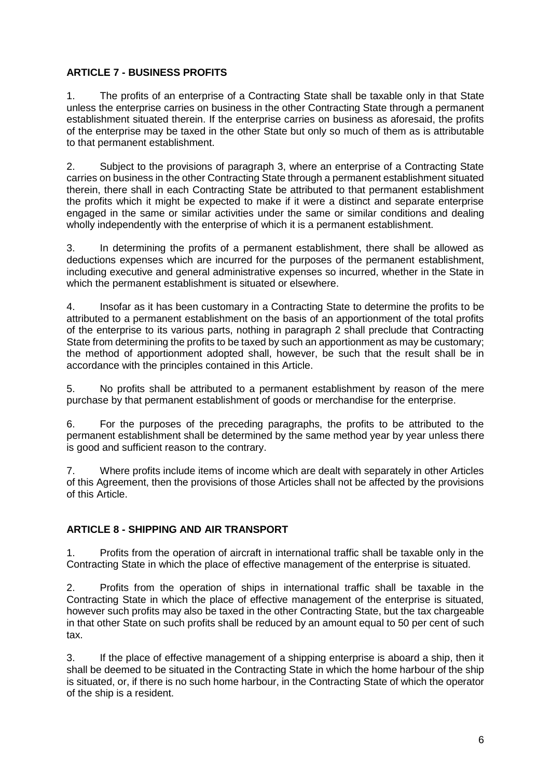#### **ARTICLE 7 - BUSINESS PROFITS**

1. The profits of an enterprise of a Contracting State shall be taxable only in that State unless the enterprise carries on business in the other Contracting State through a permanent establishment situated therein. If the enterprise carries on business as aforesaid, the profits of the enterprise may be taxed in the other State but only so much of them as is attributable to that permanent establishment.

2. Subject to the provisions of paragraph 3, where an enterprise of a Contracting State carries on business in the other Contracting State through a permanent establishment situated therein, there shall in each Contracting State be attributed to that permanent establishment the profits which it might be expected to make if it were a distinct and separate enterprise engaged in the same or similar activities under the same or similar conditions and dealing wholly independently with the enterprise of which it is a permanent establishment.

3. In determining the profits of a permanent establishment, there shall be allowed as deductions expenses which are incurred for the purposes of the permanent establishment, including executive and general administrative expenses so incurred, whether in the State in which the permanent establishment is situated or elsewhere.

4. Insofar as it has been customary in a Contracting State to determine the profits to be attributed to a permanent establishment on the basis of an apportionment of the total profits of the enterprise to its various parts, nothing in paragraph 2 shall preclude that Contracting State from determining the profits to be taxed by such an apportionment as may be customary; the method of apportionment adopted shall, however, be such that the result shall be in accordance with the principles contained in this Article.

5. No profits shall be attributed to a permanent establishment by reason of the mere purchase by that permanent establishment of goods or merchandise for the enterprise.

6. For the purposes of the preceding paragraphs, the profits to be attributed to the permanent establishment shall be determined by the same method year by year unless there is good and sufficient reason to the contrary.

7. Where profits include items of income which are dealt with separately in other Articles of this Agreement, then the provisions of those Articles shall not be affected by the provisions of this Article.

## **ARTICLE 8 - SHIPPING AND AIR TRANSPORT**

1. Profits from the operation of aircraft in international traffic shall be taxable only in the Contracting State in which the place of effective management of the enterprise is situated.

2. Profits from the operation of ships in international traffic shall be taxable in the Contracting State in which the place of effective management of the enterprise is situated, however such profits may also be taxed in the other Contracting State, but the tax chargeable in that other State on such profits shall be reduced by an amount equal to 50 per cent of such tax.

3. If the place of effective management of a shipping enterprise is aboard a ship, then it shall be deemed to be situated in the Contracting State in which the home harbour of the ship is situated, or, if there is no such home harbour, in the Contracting State of which the operator of the ship is a resident.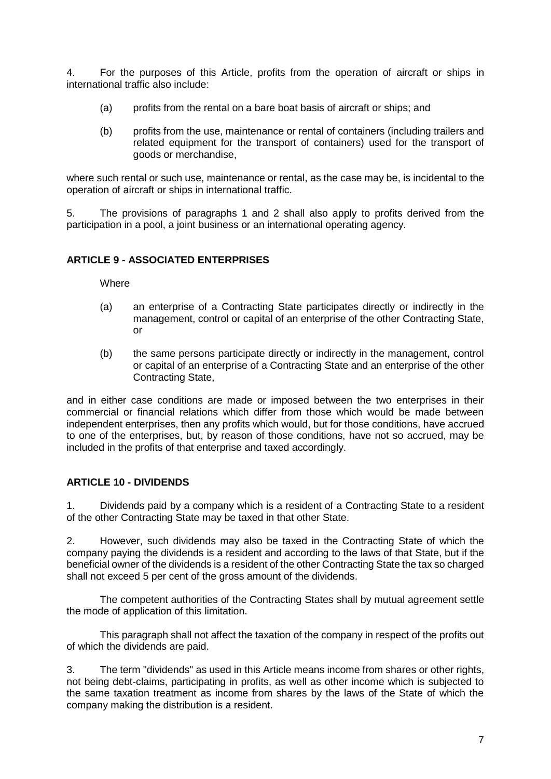4. For the purposes of this Article, profits from the operation of aircraft or ships in international traffic also include:

- (a) profits from the rental on a bare boat basis of aircraft or ships; and
- (b) profits from the use, maintenance or rental of containers (including trailers and related equipment for the transport of containers) used for the transport of goods or merchandise,

where such rental or such use, maintenance or rental, as the case may be, is incidental to the operation of aircraft or ships in international traffic.

5. The provisions of paragraphs 1 and 2 shall also apply to profits derived from the participation in a pool, a joint business or an international operating agency.

# **ARTICLE 9 - ASSOCIATED ENTERPRISES**

**Where** 

- (a) an enterprise of a Contracting State participates directly or indirectly in the management, control or capital of an enterprise of the other Contracting State, or
- (b) the same persons participate directly or indirectly in the management, control or capital of an enterprise of a Contracting State and an enterprise of the other Contracting State,

and in either case conditions are made or imposed between the two enterprises in their commercial or financial relations which differ from those which would be made between independent enterprises, then any profits which would, but for those conditions, have accrued to one of the enterprises, but, by reason of those conditions, have not so accrued, may be included in the profits of that enterprise and taxed accordingly.

## **ARTICLE 10 - DIVIDENDS**

1. Dividends paid by a company which is a resident of a Contracting State to a resident of the other Contracting State may be taxed in that other State.

2. However, such dividends may also be taxed in the Contracting State of which the company paying the dividends is a resident and according to the laws of that State, but if the beneficial owner of the dividends is a resident of the other Contracting State the tax so charged shall not exceed 5 per cent of the gross amount of the dividends.

The competent authorities of the Contracting States shall by mutual agreement settle the mode of application of this limitation.

This paragraph shall not affect the taxation of the company in respect of the profits out of which the dividends are paid.

3. The term "dividends" as used in this Article means income from shares or other rights, not being debt-claims, participating in profits, as well as other income which is subjected to the same taxation treatment as income from shares by the laws of the State of which the company making the distribution is a resident.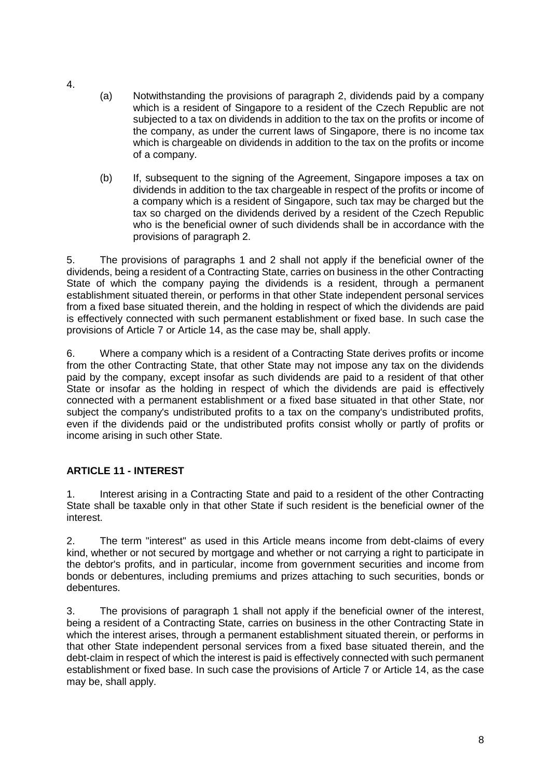- (a) Notwithstanding the provisions of paragraph 2, dividends paid by a company which is a resident of Singapore to a resident of the Czech Republic are not subjected to a tax on dividends in addition to the tax on the profits or income of the company, as under the current laws of Singapore, there is no income tax which is chargeable on dividends in addition to the tax on the profits or income of a company.
- (b) If, subsequent to the signing of the Agreement, Singapore imposes a tax on dividends in addition to the tax chargeable in respect of the profits or income of a company which is a resident of Singapore, such tax may be charged but the tax so charged on the dividends derived by a resident of the Czech Republic who is the beneficial owner of such dividends shall be in accordance with the provisions of paragraph 2.

5. The provisions of paragraphs 1 and 2 shall not apply if the beneficial owner of the dividends, being a resident of a Contracting State, carries on business in the other Contracting State of which the company paying the dividends is a resident, through a permanent establishment situated therein, or performs in that other State independent personal services from a fixed base situated therein, and the holding in respect of which the dividends are paid is effectively connected with such permanent establishment or fixed base. In such case the provisions of Article 7 or Article 14, as the case may be, shall apply.

6. Where a company which is a resident of a Contracting State derives profits or income from the other Contracting State, that other State may not impose any tax on the dividends paid by the company, except insofar as such dividends are paid to a resident of that other State or insofar as the holding in respect of which the dividends are paid is effectively connected with a permanent establishment or a fixed base situated in that other State, nor subject the company's undistributed profits to a tax on the company's undistributed profits, even if the dividends paid or the undistributed profits consist wholly or partly of profits or income arising in such other State.

# **ARTICLE 11 - INTEREST**

1. Interest arising in a Contracting State and paid to a resident of the other Contracting State shall be taxable only in that other State if such resident is the beneficial owner of the interest.

2. The term "interest" as used in this Article means income from debt-claims of every kind, whether or not secured by mortgage and whether or not carrying a right to participate in the debtor's profits, and in particular, income from government securities and income from bonds or debentures, including premiums and prizes attaching to such securities, bonds or debentures.

3. The provisions of paragraph 1 shall not apply if the beneficial owner of the interest, being a resident of a Contracting State, carries on business in the other Contracting State in which the interest arises, through a permanent establishment situated therein, or performs in that other State independent personal services from a fixed base situated therein, and the debt-claim in respect of which the interest is paid is effectively connected with such permanent establishment or fixed base. In such case the provisions of Article 7 or Article 14, as the case may be, shall apply.

4.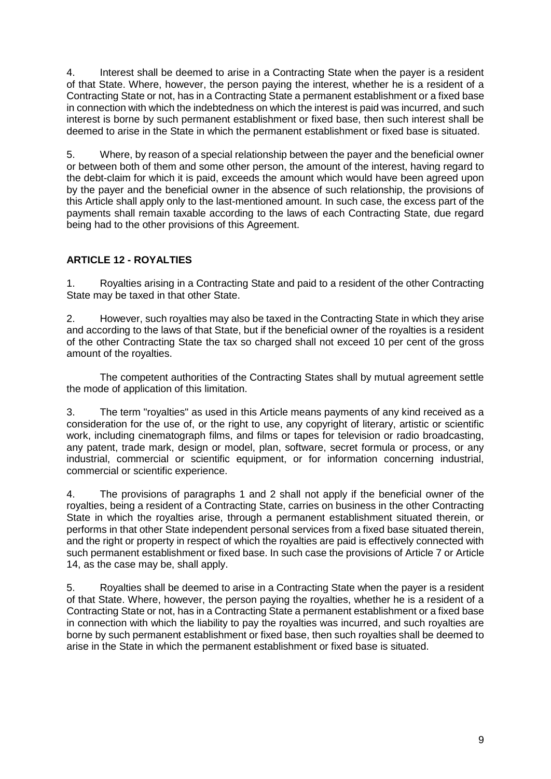4. Interest shall be deemed to arise in a Contracting State when the payer is a resident of that State. Where, however, the person paying the interest, whether he is a resident of a Contracting State or not, has in a Contracting State a permanent establishment or a fixed base in connection with which the indebtedness on which the interest is paid was incurred, and such interest is borne by such permanent establishment or fixed base, then such interest shall be deemed to arise in the State in which the permanent establishment or fixed base is situated.

5. Where, by reason of a special relationship between the payer and the beneficial owner or between both of them and some other person, the amount of the interest, having regard to the debt-claim for which it is paid, exceeds the amount which would have been agreed upon by the payer and the beneficial owner in the absence of such relationship, the provisions of this Article shall apply only to the last-mentioned amount. In such case, the excess part of the payments shall remain taxable according to the laws of each Contracting State, due regard being had to the other provisions of this Agreement.

# **ARTICLE 12 - ROYALTIES**

1. Royalties arising in a Contracting State and paid to a resident of the other Contracting State may be taxed in that other State.

2. However, such royalties may also be taxed in the Contracting State in which they arise and according to the laws of that State, but if the beneficial owner of the royalties is a resident of the other Contracting State the tax so charged shall not exceed 10 per cent of the gross amount of the royalties.

The competent authorities of the Contracting States shall by mutual agreement settle the mode of application of this limitation.

3. The term "royalties" as used in this Article means payments of any kind received as a consideration for the use of, or the right to use, any copyright of literary, artistic or scientific work, including cinematograph films, and films or tapes for television or radio broadcasting, any patent, trade mark, design or model, plan, software, secret formula or process, or any industrial, commercial or scientific equipment, or for information concerning industrial, commercial or scientific experience.

4. The provisions of paragraphs 1 and 2 shall not apply if the beneficial owner of the royalties, being a resident of a Contracting State, carries on business in the other Contracting State in which the royalties arise, through a permanent establishment situated therein, or performs in that other State independent personal services from a fixed base situated therein, and the right or property in respect of which the royalties are paid is effectively connected with such permanent establishment or fixed base. In such case the provisions of Article 7 or Article 14, as the case may be, shall apply.

5. Royalties shall be deemed to arise in a Contracting State when the payer is a resident of that State. Where, however, the person paying the royalties, whether he is a resident of a Contracting State or not, has in a Contracting State a permanent establishment or a fixed base in connection with which the liability to pay the royalties was incurred, and such royalties are borne by such permanent establishment or fixed base, then such royalties shall be deemed to arise in the State in which the permanent establishment or fixed base is situated.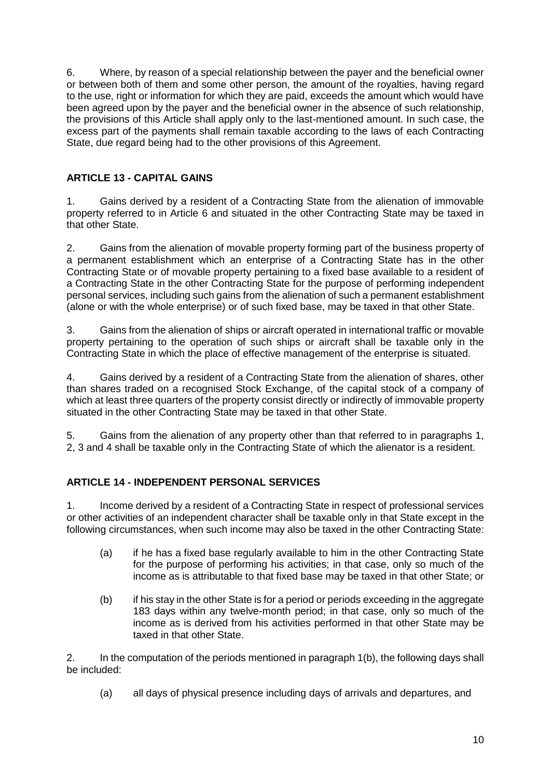6. Where, by reason of a special relationship between the payer and the beneficial owner or between both of them and some other person, the amount of the royalties, having regard to the use, right or information for which they are paid, exceeds the amount which would have been agreed upon by the payer and the beneficial owner in the absence of such relationship, the provisions of this Article shall apply only to the last-mentioned amount. In such case, the excess part of the payments shall remain taxable according to the laws of each Contracting State, due regard being had to the other provisions of this Agreement.

# **ARTICLE 13 - CAPITAL GAINS**

1. Gains derived by a resident of a Contracting State from the alienation of immovable property referred to in Article 6 and situated in the other Contracting State may be taxed in that other State.

2. Gains from the alienation of movable property forming part of the business property of a permanent establishment which an enterprise of a Contracting State has in the other Contracting State or of movable property pertaining to a fixed base available to a resident of a Contracting State in the other Contracting State for the purpose of performing independent personal services, including such gains from the alienation of such a permanent establishment (alone or with the whole enterprise) or of such fixed base, may be taxed in that other State.

3. Gains from the alienation of ships or aircraft operated in international traffic or movable property pertaining to the operation of such ships or aircraft shall be taxable only in the Contracting State in which the place of effective management of the enterprise is situated.

4. Gains derived by a resident of a Contracting State from the alienation of shares, other than shares traded on a recognised Stock Exchange, of the capital stock of a company of which at least three quarters of the property consist directly or indirectly of immovable property situated in the other Contracting State may be taxed in that other State.

5. Gains from the alienation of any property other than that referred to in paragraphs 1, 2, 3 and 4 shall be taxable only in the Contracting State of which the alienator is a resident.

## **ARTICLE 14 - INDEPENDENT PERSONAL SERVICES**

1. Income derived by a resident of a Contracting State in respect of professional services or other activities of an independent character shall be taxable only in that State except in the following circumstances, when such income may also be taxed in the other Contracting State:

- (a) if he has a fixed base regularly available to him in the other Contracting State for the purpose of performing his activities; in that case, only so much of the income as is attributable to that fixed base may be taxed in that other State; or
- (b) if his stay in the other State is for a period or periods exceeding in the aggregate 183 days within any twelve-month period; in that case, only so much of the income as is derived from his activities performed in that other State may be taxed in that other State.

2. In the computation of the periods mentioned in paragraph 1(b), the following days shall be included:

(a) all days of physical presence including days of arrivals and departures, and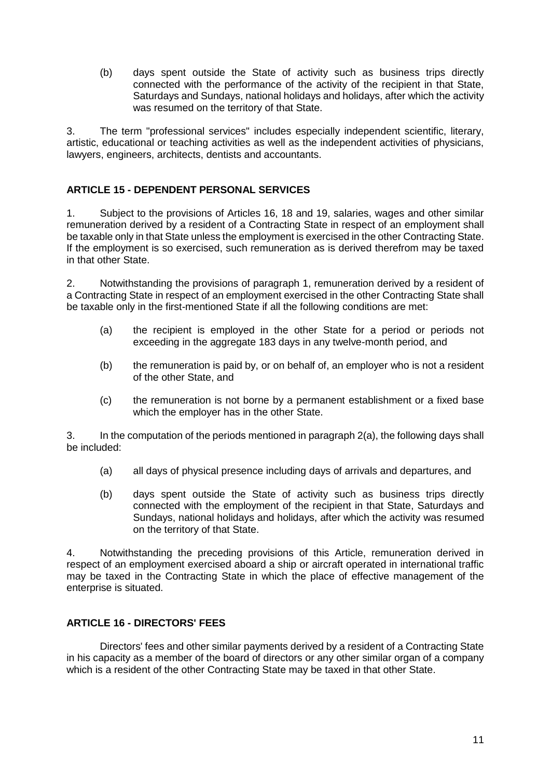(b) days spent outside the State of activity such as business trips directly connected with the performance of the activity of the recipient in that State, Saturdays and Sundays, national holidays and holidays, after which the activity was resumed on the territory of that State.

3. The term "professional services" includes especially independent scientific, literary, artistic, educational or teaching activities as well as the independent activities of physicians, lawyers, engineers, architects, dentists and accountants.

# **ARTICLE 15 - DEPENDENT PERSONAL SERVICES**

1. Subject to the provisions of Articles 16, 18 and 19, salaries, wages and other similar remuneration derived by a resident of a Contracting State in respect of an employment shall be taxable only in that State unless the employment is exercised in the other Contracting State. If the employment is so exercised, such remuneration as is derived therefrom may be taxed in that other State.

2. Notwithstanding the provisions of paragraph 1, remuneration derived by a resident of a Contracting State in respect of an employment exercised in the other Contracting State shall be taxable only in the first-mentioned State if all the following conditions are met:

- (a) the recipient is employed in the other State for a period or periods not exceeding in the aggregate 183 days in any twelve-month period, and
- (b) the remuneration is paid by, or on behalf of, an employer who is not a resident of the other State, and
- (c) the remuneration is not borne by a permanent establishment or a fixed base which the employer has in the other State.

3. In the computation of the periods mentioned in paragraph 2(a), the following days shall be included:

- (a) all days of physical presence including days of arrivals and departures, and
- (b) days spent outside the State of activity such as business trips directly connected with the employment of the recipient in that State, Saturdays and Sundays, national holidays and holidays, after which the activity was resumed on the territory of that State.

4. Notwithstanding the preceding provisions of this Article, remuneration derived in respect of an employment exercised aboard a ship or aircraft operated in international traffic may be taxed in the Contracting State in which the place of effective management of the enterprise is situated.

## **ARTICLE 16 - DIRECTORS' FEES**

Directors' fees and other similar payments derived by a resident of a Contracting State in his capacity as a member of the board of directors or any other similar organ of a company which is a resident of the other Contracting State may be taxed in that other State.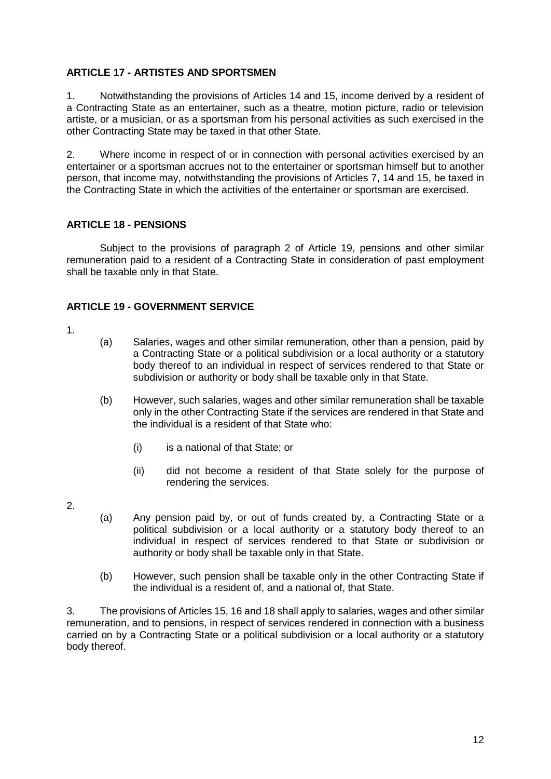#### **ARTICLE 17 - ARTISTES AND SPORTSMEN**

1. Notwithstanding the provisions of Articles 14 and 15, income derived by a resident of a Contracting State as an entertainer, such as a theatre, motion picture, radio or television artiste, or a musician, or as a sportsman from his personal activities as such exercised in the other Contracting State may be taxed in that other State.

2. Where income in respect of or in connection with personal activities exercised by an entertainer or a sportsman accrues not to the entertainer or sportsman himself but to another person, that income may, notwithstanding the provisions of Articles 7, 14 and 15, be taxed in the Contracting State in which the activities of the entertainer or sportsman are exercised.

#### **ARTICLE 18 - PENSIONS**

Subject to the provisions of paragraph 2 of Article 19, pensions and other similar remuneration paid to a resident of a Contracting State in consideration of past employment shall be taxable only in that State.

## **ARTICLE 19 - GOVERNMENT SERVICE**

1.

- (a) Salaries, wages and other similar remuneration, other than a pension, paid by a Contracting State or a political subdivision or a local authority or a statutory body thereof to an individual in respect of services rendered to that State or subdivision or authority or body shall be taxable only in that State.
- (b) However, such salaries, wages and other similar remuneration shall be taxable only in the other Contracting State if the services are rendered in that State and the individual is a resident of that State who:
	- (i) is a national of that State; or
	- (ii) did not become a resident of that State solely for the purpose of rendering the services.

2.

- (a) Any pension paid by, or out of funds created by, a Contracting State or a political subdivision or a local authority or a statutory body thereof to an individual in respect of services rendered to that State or subdivision or authority or body shall be taxable only in that State.
- (b) However, such pension shall be taxable only in the other Contracting State if the individual is a resident of, and a national of, that State.

3. The provisions of Articles 15, 16 and 18 shall apply to salaries, wages and other similar remuneration, and to pensions, in respect of services rendered in connection with a business carried on by a Contracting State or a political subdivision or a local authority or a statutory body thereof.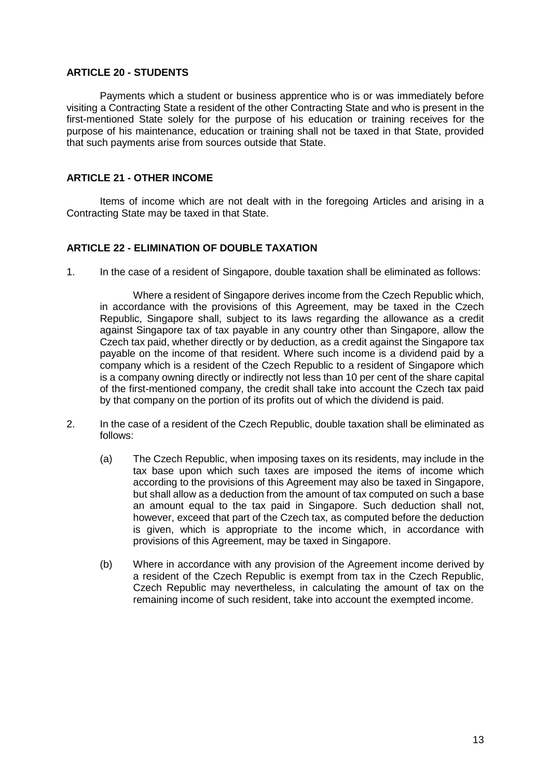#### **ARTICLE 20 - STUDENTS**

Payments which a student or business apprentice who is or was immediately before visiting a Contracting State a resident of the other Contracting State and who is present in the first-mentioned State solely for the purpose of his education or training receives for the purpose of his maintenance, education or training shall not be taxed in that State, provided that such payments arise from sources outside that State.

#### **ARTICLE 21 - OTHER INCOME**

Items of income which are not dealt with in the foregoing Articles and arising in a Contracting State may be taxed in that State.

#### **ARTICLE 22 - ELIMINATION OF DOUBLE TAXATION**

1. In the case of a resident of Singapore, double taxation shall be eliminated as follows:

Where a resident of Singapore derives income from the Czech Republic which, in accordance with the provisions of this Agreement, may be taxed in the Czech Republic, Singapore shall, subject to its laws regarding the allowance as a credit against Singapore tax of tax payable in any country other than Singapore, allow the Czech tax paid, whether directly or by deduction, as a credit against the Singapore tax payable on the income of that resident. Where such income is a dividend paid by a company which is a resident of the Czech Republic to a resident of Singapore which is a company owning directly or indirectly not less than 10 per cent of the share capital of the first-mentioned company, the credit shall take into account the Czech tax paid by that company on the portion of its profits out of which the dividend is paid.

- 2. In the case of a resident of the Czech Republic, double taxation shall be eliminated as follows:
	- (a) The Czech Republic, when imposing taxes on its residents, may include in the tax base upon which such taxes are imposed the items of income which according to the provisions of this Agreement may also be taxed in Singapore, but shall allow as a deduction from the amount of tax computed on such a base an amount equal to the tax paid in Singapore. Such deduction shall not, however, exceed that part of the Czech tax, as computed before the deduction is given, which is appropriate to the income which, in accordance with provisions of this Agreement, may be taxed in Singapore.
	- (b) Where in accordance with any provision of the Agreement income derived by a resident of the Czech Republic is exempt from tax in the Czech Republic, Czech Republic may nevertheless, in calculating the amount of tax on the remaining income of such resident, take into account the exempted income.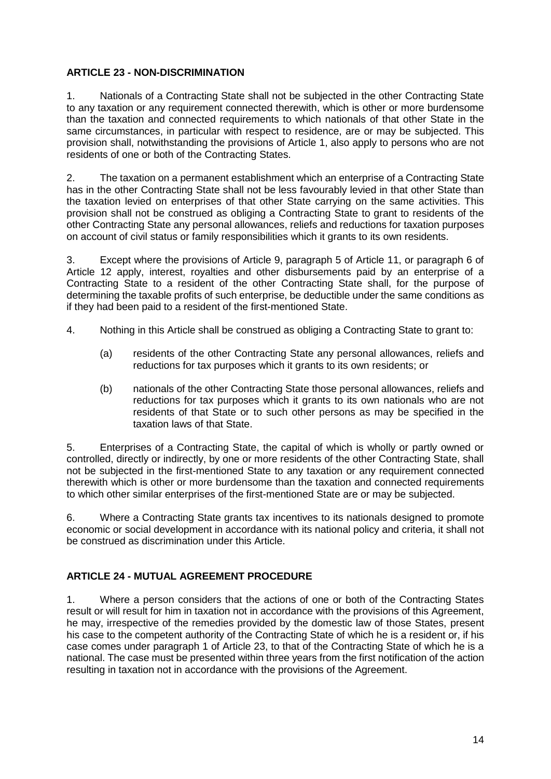#### **ARTICLE 23 - NON-DISCRIMINATION**

1. Nationals of a Contracting State shall not be subjected in the other Contracting State to any taxation or any requirement connected therewith, which is other or more burdensome than the taxation and connected requirements to which nationals of that other State in the same circumstances, in particular with respect to residence, are or may be subjected. This provision shall, notwithstanding the provisions of Article 1, also apply to persons who are not residents of one or both of the Contracting States.

2. The taxation on a permanent establishment which an enterprise of a Contracting State has in the other Contracting State shall not be less favourably levied in that other State than the taxation levied on enterprises of that other State carrying on the same activities. This provision shall not be construed as obliging a Contracting State to grant to residents of the other Contracting State any personal allowances, reliefs and reductions for taxation purposes on account of civil status or family responsibilities which it grants to its own residents.

3. Except where the provisions of Article 9, paragraph 5 of Article 11, or paragraph 6 of Article 12 apply, interest, royalties and other disbursements paid by an enterprise of a Contracting State to a resident of the other Contracting State shall, for the purpose of determining the taxable profits of such enterprise, be deductible under the same conditions as if they had been paid to a resident of the first-mentioned State.

- 4. Nothing in this Article shall be construed as obliging a Contracting State to grant to:
	- (a) residents of the other Contracting State any personal allowances, reliefs and reductions for tax purposes which it grants to its own residents; or
	- (b) nationals of the other Contracting State those personal allowances, reliefs and reductions for tax purposes which it grants to its own nationals who are not residents of that State or to such other persons as may be specified in the taxation laws of that State.

5. Enterprises of a Contracting State, the capital of which is wholly or partly owned or controlled, directly or indirectly, by one or more residents of the other Contracting State, shall not be subjected in the first-mentioned State to any taxation or any requirement connected therewith which is other or more burdensome than the taxation and connected requirements to which other similar enterprises of the first-mentioned State are or may be subjected.

6. Where a Contracting State grants tax incentives to its nationals designed to promote economic or social development in accordance with its national policy and criteria, it shall not be construed as discrimination under this Article.

# **ARTICLE 24 - MUTUAL AGREEMENT PROCEDURE**

1. Where a person considers that the actions of one or both of the Contracting States result or will result for him in taxation not in accordance with the provisions of this Agreement, he may, irrespective of the remedies provided by the domestic law of those States, present his case to the competent authority of the Contracting State of which he is a resident or, if his case comes under paragraph 1 of Article 23, to that of the Contracting State of which he is a national. The case must be presented within three years from the first notification of the action resulting in taxation not in accordance with the provisions of the Agreement.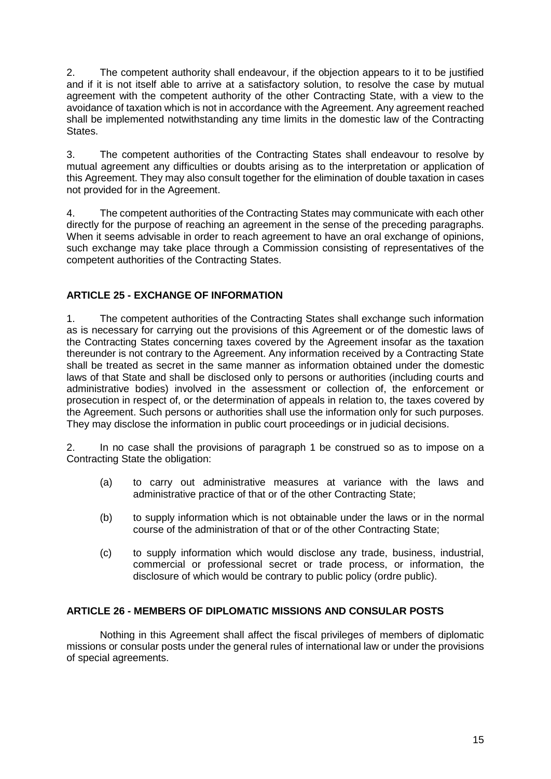2. The competent authority shall endeavour, if the objection appears to it to be justified and if it is not itself able to arrive at a satisfactory solution, to resolve the case by mutual agreement with the competent authority of the other Contracting State, with a view to the avoidance of taxation which is not in accordance with the Agreement. Any agreement reached shall be implemented notwithstanding any time limits in the domestic law of the Contracting States.

3. The competent authorities of the Contracting States shall endeavour to resolve by mutual agreement any difficulties or doubts arising as to the interpretation or application of this Agreement. They may also consult together for the elimination of double taxation in cases not provided for in the Agreement.

4. The competent authorities of the Contracting States may communicate with each other directly for the purpose of reaching an agreement in the sense of the preceding paragraphs. When it seems advisable in order to reach agreement to have an oral exchange of opinions, such exchange may take place through a Commission consisting of representatives of the competent authorities of the Contracting States.

# **ARTICLE 25 - EXCHANGE OF INFORMATION**

1. The competent authorities of the Contracting States shall exchange such information as is necessary for carrying out the provisions of this Agreement or of the domestic laws of the Contracting States concerning taxes covered by the Agreement insofar as the taxation thereunder is not contrary to the Agreement. Any information received by a Contracting State shall be treated as secret in the same manner as information obtained under the domestic laws of that State and shall be disclosed only to persons or authorities (including courts and administrative bodies) involved in the assessment or collection of, the enforcement or prosecution in respect of, or the determination of appeals in relation to, the taxes covered by the Agreement. Such persons or authorities shall use the information only for such purposes. They may disclose the information in public court proceedings or in judicial decisions.

2. In no case shall the provisions of paragraph 1 be construed so as to impose on a Contracting State the obligation:

- (a) to carry out administrative measures at variance with the laws and administrative practice of that or of the other Contracting State;
- (b) to supply information which is not obtainable under the laws or in the normal course of the administration of that or of the other Contracting State;
- (c) to supply information which would disclose any trade, business, industrial, commercial or professional secret or trade process, or information, the disclosure of which would be contrary to public policy (ordre public).

## **ARTICLE 26 - MEMBERS OF DIPLOMATIC MISSIONS AND CONSULAR POSTS**

Nothing in this Agreement shall affect the fiscal privileges of members of diplomatic missions or consular posts under the general rules of international law or under the provisions of special agreements.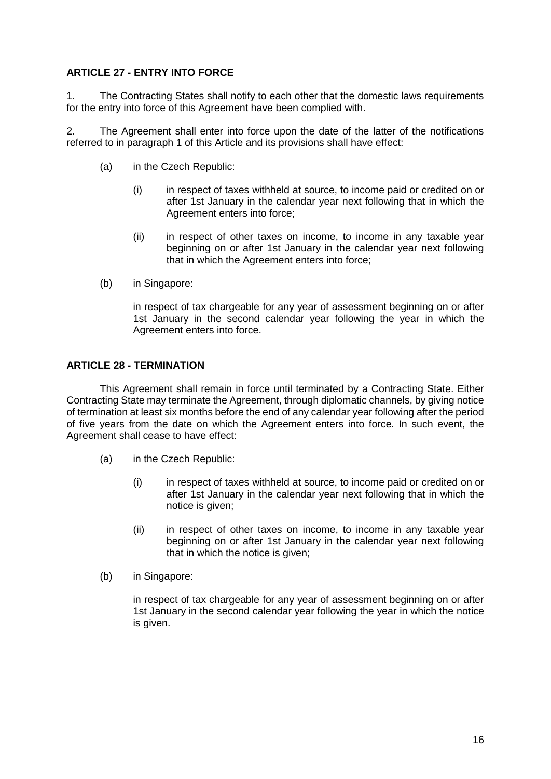#### **ARTICLE 27 - ENTRY INTO FORCE**

1. The Contracting States shall notify to each other that the domestic laws requirements for the entry into force of this Agreement have been complied with.

2. The Agreement shall enter into force upon the date of the latter of the notifications referred to in paragraph 1 of this Article and its provisions shall have effect:

- (a) in the Czech Republic:
	- (i) in respect of taxes withheld at source, to income paid or credited on or after 1st January in the calendar year next following that in which the Agreement enters into force:
	- (ii) in respect of other taxes on income, to income in any taxable year beginning on or after 1st January in the calendar year next following that in which the Agreement enters into force;
- (b) in Singapore:

in respect of tax chargeable for any year of assessment beginning on or after 1st January in the second calendar year following the year in which the Agreement enters into force.

#### **ARTICLE 28 - TERMINATION**

This Agreement shall remain in force until terminated by a Contracting State. Either Contracting State may terminate the Agreement, through diplomatic channels, by giving notice of termination at least six months before the end of any calendar year following after the period of five years from the date on which the Agreement enters into force. In such event, the Agreement shall cease to have effect:

- (a) in the Czech Republic:
	- (i) in respect of taxes withheld at source, to income paid or credited on or after 1st January in the calendar year next following that in which the notice is given;
	- (ii) in respect of other taxes on income, to income in any taxable year beginning on or after 1st January in the calendar year next following that in which the notice is given;
- (b) in Singapore:

in respect of tax chargeable for any year of assessment beginning on or after 1st January in the second calendar year following the year in which the notice is given.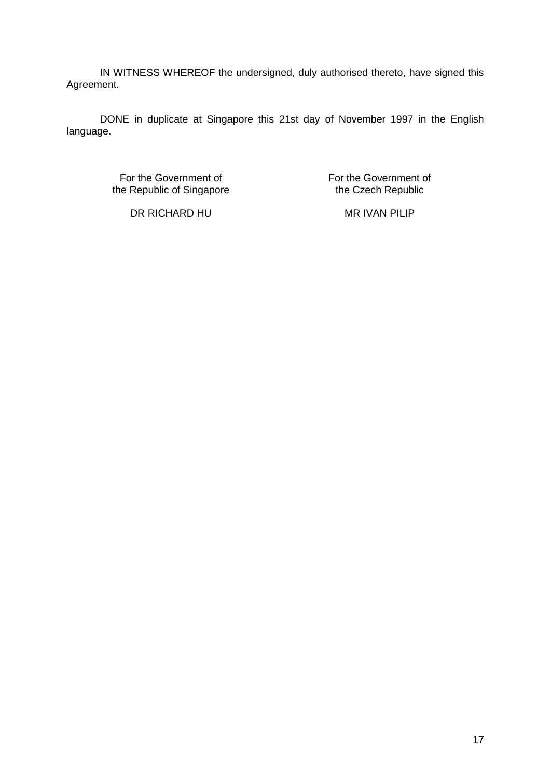IN WITNESS WHEREOF the undersigned, duly authorised thereto, have signed this Agreement.

DONE in duplicate at Singapore this 21st day of November 1997 in the English language.

> For the Government of the Republic of Singapore

For the Government of the Czech Republic

DR RICHARD HU MR IVAN PILIP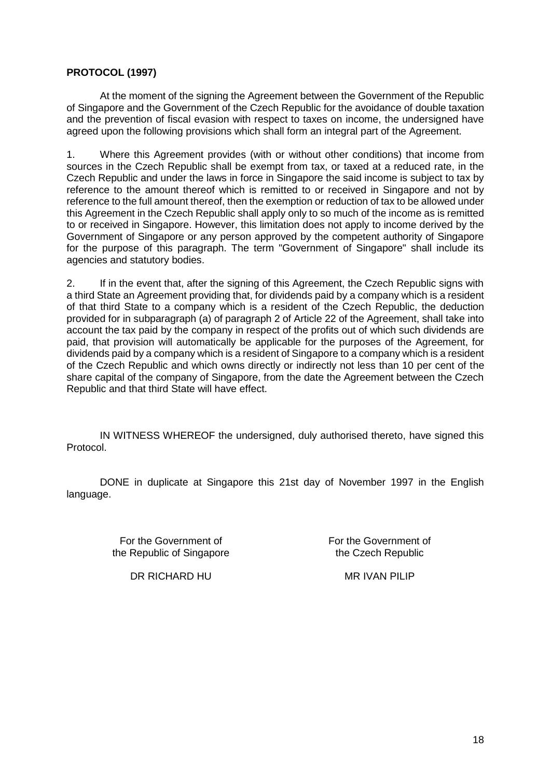#### **PROTOCOL (1997)**

At the moment of the signing the Agreement between the Government of the Republic of Singapore and the Government of the Czech Republic for the avoidance of double taxation and the prevention of fiscal evasion with respect to taxes on income, the undersigned have agreed upon the following provisions which shall form an integral part of the Agreement.

1. Where this Agreement provides (with or without other conditions) that income from sources in the Czech Republic shall be exempt from tax, or taxed at a reduced rate, in the Czech Republic and under the laws in force in Singapore the said income is subject to tax by reference to the amount thereof which is remitted to or received in Singapore and not by reference to the full amount thereof, then the exemption or reduction of tax to be allowed under this Agreement in the Czech Republic shall apply only to so much of the income as is remitted to or received in Singapore. However, this limitation does not apply to income derived by the Government of Singapore or any person approved by the competent authority of Singapore for the purpose of this paragraph. The term "Government of Singapore" shall include its agencies and statutory bodies.

2. If in the event that, after the signing of this Agreement, the Czech Republic signs with a third State an Agreement providing that, for dividends paid by a company which is a resident of that third State to a company which is a resident of the Czech Republic, the deduction provided for in subparagraph (a) of paragraph 2 of Article 22 of the Agreement, shall take into account the tax paid by the company in respect of the profits out of which such dividends are paid, that provision will automatically be applicable for the purposes of the Agreement, for dividends paid by a company which is a resident of Singapore to a company which is a resident of the Czech Republic and which owns directly or indirectly not less than 10 per cent of the share capital of the company of Singapore, from the date the Agreement between the Czech Republic and that third State will have effect.

IN WITNESS WHEREOF the undersigned, duly authorised thereto, have signed this Protocol.

DONE in duplicate at Singapore this 21st day of November 1997 in the English language.

> For the Government of the Republic of Singapore

For the Government of the Czech Republic

DR RICHARD HU MR IVAN PILIP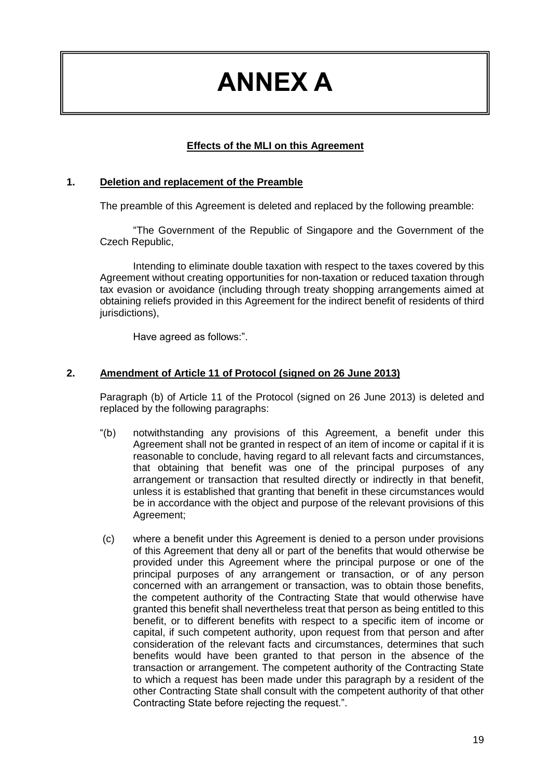# **ANNEX A**

## **Effects of the MLI on this Agreement**

#### **1. Deletion and replacement of the Preamble**

The preamble of this Agreement is deleted and replaced by the following preamble:

"The Government of the Republic of Singapore and the Government of the Czech Republic,

Intending to eliminate double taxation with respect to the taxes covered by this Agreement without creating opportunities for non-taxation or reduced taxation through tax evasion or avoidance (including through treaty shopping arrangements aimed at obtaining reliefs provided in this Agreement for the indirect benefit of residents of third jurisdictions),

Have agreed as follows:".

#### **2. Amendment of Article 11 of Protocol (signed on 26 June 2013)**

Paragraph (b) of Article 11 of the Protocol (signed on 26 June 2013) is deleted and replaced by the following paragraphs:

- "(b) notwithstanding any provisions of this Agreement, a benefit under this Agreement shall not be granted in respect of an item of income or capital if it is reasonable to conclude, having regard to all relevant facts and circumstances, that obtaining that benefit was one of the principal purposes of any arrangement or transaction that resulted directly or indirectly in that benefit, unless it is established that granting that benefit in these circumstances would be in accordance with the object and purpose of the relevant provisions of this Agreement;
- (c) where a benefit under this Agreement is denied to a person under provisions of this Agreement that deny all or part of the benefits that would otherwise be provided under this Agreement where the principal purpose or one of the principal purposes of any arrangement or transaction, or of any person concerned with an arrangement or transaction, was to obtain those benefits, the competent authority of the Contracting State that would otherwise have granted this benefit shall nevertheless treat that person as being entitled to this benefit, or to different benefits with respect to a specific item of income or capital, if such competent authority, upon request from that person and after consideration of the relevant facts and circumstances, determines that such benefits would have been granted to that person in the absence of the transaction or arrangement. The competent authority of the Contracting State to which a request has been made under this paragraph by a resident of the other Contracting State shall consult with the competent authority of that other Contracting State before rejecting the request.".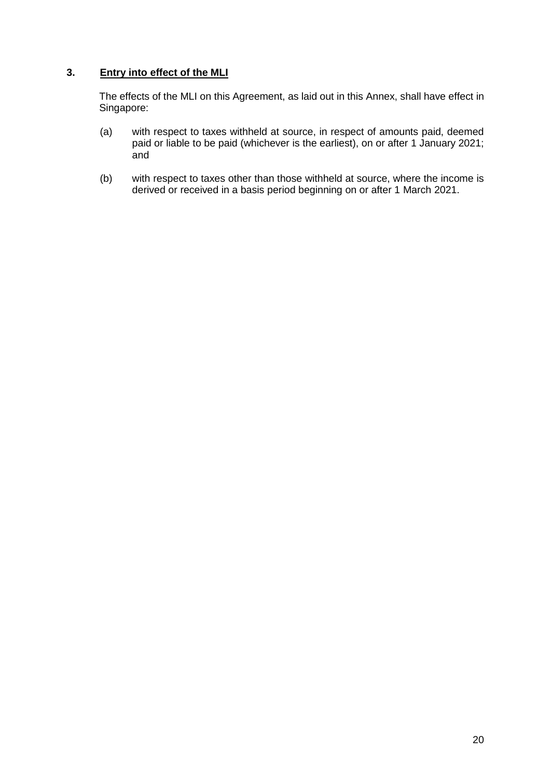## **3. Entry into effect of the MLI**

The effects of the MLI on this Agreement, as laid out in this Annex, shall have effect in Singapore:

- (a) with respect to taxes withheld at source, in respect of amounts paid, deemed paid or liable to be paid (whichever is the earliest), on or after 1 January 2021; and
- (b) with respect to taxes other than those withheld at source, where the income is derived or received in a basis period beginning on or after 1 March 2021.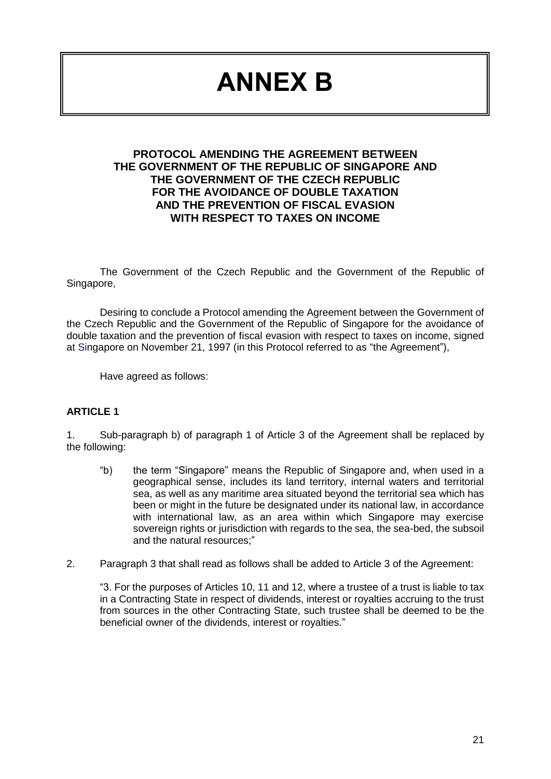# **ANNEX B**

## **PROTOCOL AMENDING THE AGREEMENT BETWEEN THE GOVERNMENT OF THE REPUBLIC OF SINGAPORE AND THE GOVERNMENT OF THE CZECH REPUBLIC FOR THE AVOIDANCE OF DOUBLE TAXATION AND THE PREVENTION OF FISCAL EVASION WITH RESPECT TO TAXES ON INCOME**

The Government of the Czech Republic and the Government of the Republic of Singapore,

Desiring to conclude a Protocol amending the Agreement between the Government of the Czech Republic and the Government of the Republic of Singapore for the avoidance of double taxation and the prevention of fiscal evasion with respect to taxes on income, signed at Singapore on November 21, 1997 (in this Protocol referred to as "the Agreement"),

Have agreed as follows:

#### **ARTICLE 1**

1. Sub-paragraph b) of paragraph 1 of Article 3 of the Agreement shall be replaced by the following:

- "b) the term "Singapore" means the Republic of Singapore and, when used in a geographical sense, includes its land territory, internal waters and territorial sea, as well as any maritime area situated beyond the territorial sea which has been or might in the future be designated under its national law, in accordance with international law, as an area within which Singapore may exercise sovereign rights or jurisdiction with regards to the sea, the sea-bed, the subsoil and the natural resources;"
- 2. Paragraph 3 that shall read as follows shall be added to Article 3 of the Agreement:

"3. For the purposes of Articles 10, 11 and 12, where a trustee of a trust is liable to tax in a Contracting State in respect of dividends, interest or royalties accruing to the trust from sources in the other Contracting State, such trustee shall be deemed to be the beneficial owner of the dividends, interest or royalties."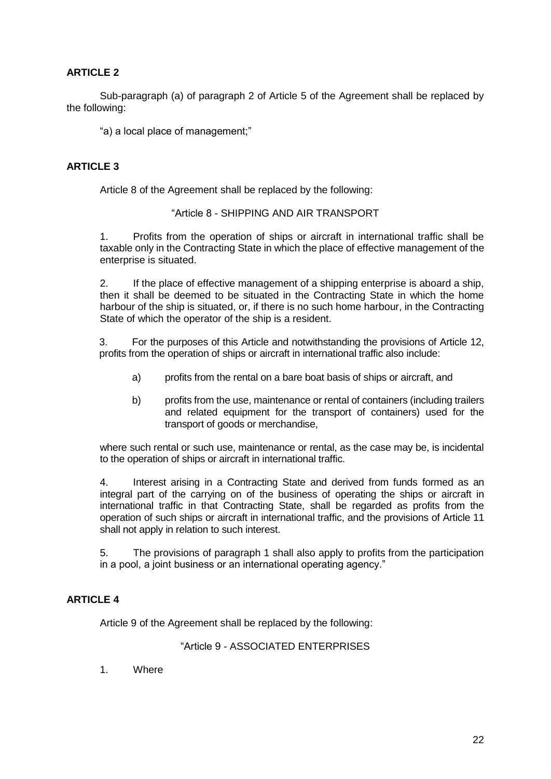#### **ARTICLE 2**

Sub-paragraph (a) of paragraph 2 of Article 5 of the Agreement shall be replaced by the following:

"a) a local place of management;"

#### **ARTICLE 3**

Article 8 of the Agreement shall be replaced by the following:

"Article 8 - SHIPPING AND AIR TRANSPORT

1. Profits from the operation of ships or aircraft in international traffic shall be taxable only in the Contracting State in which the place of effective management of the enterprise is situated.

2. If the place of effective management of a shipping enterprise is aboard a ship, then it shall be deemed to be situated in the Contracting State in which the home harbour of the ship is situated, or, if there is no such home harbour, in the Contracting State of which the operator of the ship is a resident.

3. For the purposes of this Article and notwithstanding the provisions of Article 12, profits from the operation of ships or aircraft in international traffic also include:

- a) profits from the rental on a bare boat basis of ships or aircraft, and
- b) profits from the use, maintenance or rental of containers (including trailers and related equipment for the transport of containers) used for the transport of goods or merchandise,

where such rental or such use, maintenance or rental, as the case may be, is incidental to the operation of ships or aircraft in international traffic.

4. Interest arising in a Contracting State and derived from funds formed as an integral part of the carrying on of the business of operating the ships or aircraft in international traffic in that Contracting State, shall be regarded as profits from the operation of such ships or aircraft in international traffic, and the provisions of Article 11 shall not apply in relation to such interest.

5. The provisions of paragraph 1 shall also apply to profits from the participation in a pool, a joint business or an international operating agency."

#### **ARTICLE 4**

Article 9 of the Agreement shall be replaced by the following:

#### "Article 9 - ASSOCIATED ENTERPRISES

1. Where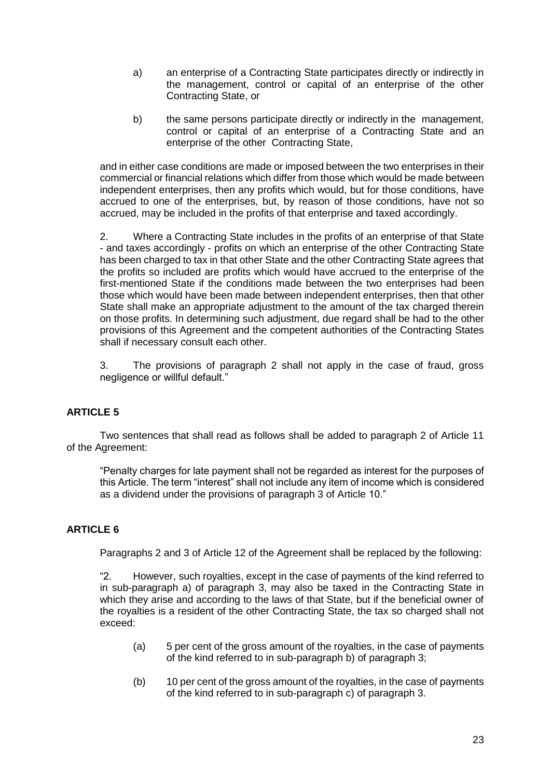- a) an enterprise of a Contracting State participates directly or indirectly in the management, control or capital of an enterprise of the other Contracting State, or
- b) the same persons participate directly or indirectly in the management, control or capital of an enterprise of a Contracting State and an enterprise of the other Contracting State,

and in either case conditions are made or imposed between the two enterprises in their commercial or financial relations which differ from those which would be made between independent enterprises, then any profits which would, but for those conditions, have accrued to one of the enterprises, but, by reason of those conditions, have not so accrued, may be included in the profits of that enterprise and taxed accordingly.

2. Where a Contracting State includes in the profits of an enterprise of that State - and taxes accordingly - profits on which an enterprise of the other Contracting State has been charged to tax in that other State and the other Contracting State agrees that the profits so included are profits which would have accrued to the enterprise of the first-mentioned State if the conditions made between the two enterprises had been those which would have been made between independent enterprises, then that other State shall make an appropriate adjustment to the amount of the tax charged therein on those profits. In determining such adjustment, due regard shall be had to the other provisions of this Agreement and the competent authorities of the Contracting States shall if necessary consult each other.

3. The provisions of paragraph 2 shall not apply in the case of fraud, gross negligence or willful default."

## **ARTICLE 5**

Two sentences that shall read as follows shall be added to paragraph 2 of Article 11 of the Agreement:

"Penalty charges for late payment shall not be regarded as interest for the purposes of this Article. The term "interest" shall not include any item of income which is considered as a dividend under the provisions of paragraph 3 of Article 10."

#### **ARTICLE 6**

Paragraphs 2 and 3 of Article 12 of the Agreement shall be replaced by the following:

"2. However, such royalties, except in the case of payments of the kind referred to in sub-paragraph a) of paragraph 3, may also be taxed in the Contracting State in which they arise and according to the laws of that State, but if the beneficial owner of the royalties is a resident of the other Contracting State, the tax so charged shall not exceed:

- (a) 5 per cent of the gross amount of the royalties, in the case of payments of the kind referred to in sub-paragraph b) of paragraph 3;
- (b) 10 per cent of the gross amount of the royalties, in the case of payments of the kind referred to in sub-paragraph c) of paragraph 3.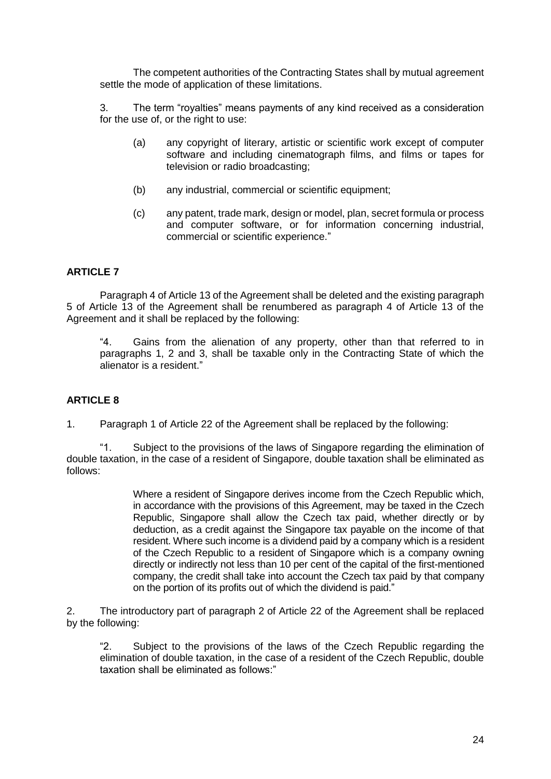The competent authorities of the Contracting States shall by mutual agreement settle the mode of application of these limitations.

3. The term "royalties" means payments of any kind received as a consideration for the use of, or the right to use:

- (a) any copyright of literary, artistic or scientific work except of computer software and including cinematograph films, and films or tapes for television or radio broadcasting;
- (b) any industrial, commercial or scientific equipment;
- (c) any patent, trade mark, design or model, plan, secret formula or process and computer software, or for information concerning industrial, commercial or scientific experience."

#### **ARTICLE 7**

Paragraph 4 of Article 13 of the Agreement shall be deleted and the existing paragraph 5 of Article 13 of the Agreement shall be renumbered as paragraph 4 of Article 13 of the Agreement and it shall be replaced by the following:

"4. Gains from the alienation of any property, other than that referred to in paragraphs 1, 2 and 3, shall be taxable only in the Contracting State of which the alienator is a resident."

#### **ARTICLE 8**

1. Paragraph 1 of Article 22 of the Agreement shall be replaced by the following:

"1. Subject to the provisions of the laws of Singapore regarding the elimination of double taxation, in the case of a resident of Singapore, double taxation shall be eliminated as follows:

> Where a resident of Singapore derives income from the Czech Republic which, in accordance with the provisions of this Agreement, may be taxed in the Czech Republic, Singapore shall allow the Czech tax paid, whether directly or by deduction, as a credit against the Singapore tax payable on the income of that resident. Where such income is a dividend paid by a company which is a resident of the Czech Republic to a resident of Singapore which is a company owning directly or indirectly not less than 10 per cent of the capital of the first-mentioned company, the credit shall take into account the Czech tax paid by that company on the portion of its profits out of which the dividend is paid."

2. The introductory part of paragraph 2 of Article 22 of the Agreement shall be replaced by the following:

"2. Subject to the provisions of the laws of the Czech Republic regarding the elimination of double taxation, in the case of a resident of the Czech Republic, double taxation shall be eliminated as follows:"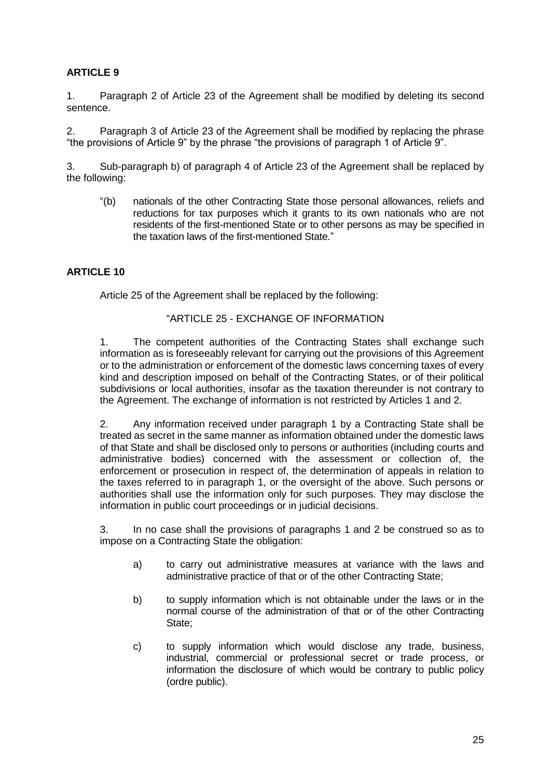# **ARTICLE 9**

1. Paragraph 2 of Article 23 of the Agreement shall be modified by deleting its second sentence.

2. Paragraph 3 of Article 23 of the Agreement shall be modified by replacing the phrase "the provisions of Article 9" by the phrase "the provisions of paragraph 1 of Article 9".

3. Sub-paragraph b) of paragraph 4 of Article 23 of the Agreement shall be replaced by the following:

"(b) nationals of the other Contracting State those personal allowances, reliefs and reductions for tax purposes which it grants to its own nationals who are not residents of the first-mentioned State or to other persons as may be specified in the taxation laws of the first-mentioned State."

#### **ARTICLE 10**

Article 25 of the Agreement shall be replaced by the following:

#### "ARTICLE 25 - EXCHANGE OF INFORMATION

1. The competent authorities of the Contracting States shall exchange such information as is foreseeably relevant for carrying out the provisions of this Agreement or to the administration or enforcement of the domestic laws concerning taxes of every kind and description imposed on behalf of the Contracting States, or of their political subdivisions or local authorities, insofar as the taxation thereunder is not contrary to the Agreement. The exchange of information is not restricted by Articles 1 and 2.

2. Any information received under paragraph 1 by a Contracting State shall be treated as secret in the same manner as information obtained under the domestic laws of that State and shall be disclosed only to persons or authorities (including courts and administrative bodies) concerned with the assessment or collection of, the enforcement or prosecution in respect of, the determination of appeals in relation to the taxes referred to in paragraph 1, or the oversight of the above. Such persons or authorities shall use the information only for such purposes. They may disclose the information in public court proceedings or in judicial decisions.

3. In no case shall the provisions of paragraphs 1 and 2 be construed so as to impose on a Contracting State the obligation:

- a) to carry out administrative measures at variance with the laws and administrative practice of that or of the other Contracting State;
- b) to supply information which is not obtainable under the laws or in the normal course of the administration of that or of the other Contracting State;
- c) to supply information which would disclose any trade, business, industrial, commercial or professional secret or trade process, or information the disclosure of which would be contrary to public policy (ordre public).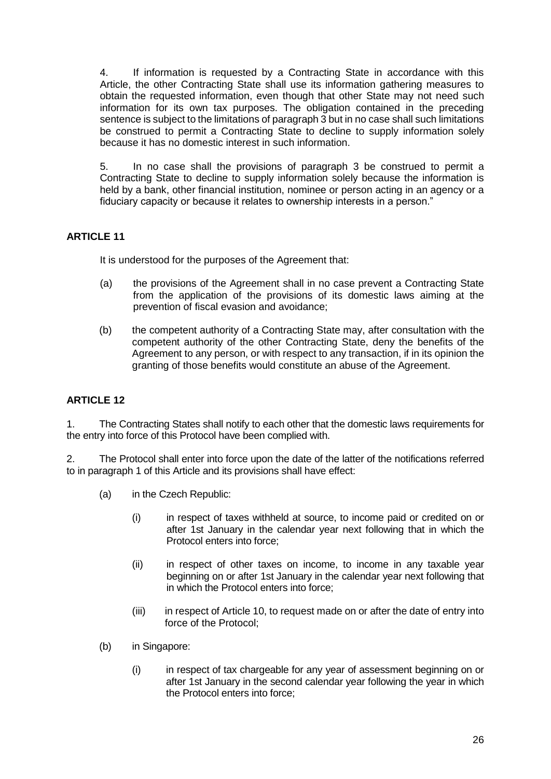4. If information is requested by a Contracting State in accordance with this Article, the other Contracting State shall use its information gathering measures to obtain the requested information, even though that other State may not need such information for its own tax purposes. The obligation contained in the preceding sentence is subject to the limitations of paragraph 3 but in no case shall such limitations be construed to permit a Contracting State to decline to supply information solely because it has no domestic interest in such information.

5. In no case shall the provisions of paragraph 3 be construed to permit a Contracting State to decline to supply information solely because the information is held by a bank, other financial institution, nominee or person acting in an agency or a fiduciary capacity or because it relates to ownership interests in a person."

# **ARTICLE 11**

It is understood for the purposes of the Agreement that:

- (a) the provisions of the Agreement shall in no case prevent a Contracting State from the application of the provisions of its domestic laws aiming at the prevention of fiscal evasion and avoidance;
- (b) the competent authority of a Contracting State may, after consultation with the competent authority of the other Contracting State, deny the benefits of the Agreement to any person, or with respect to any transaction, if in its opinion the granting of those benefits would constitute an abuse of the Agreement.

## **ARTICLE 12**

1. The Contracting States shall notify to each other that the domestic laws requirements for the entry into force of this Protocol have been complied with.

2. The Protocol shall enter into force upon the date of the latter of the notifications referred to in paragraph 1 of this Article and its provisions shall have effect:

- (a) in the Czech Republic:
	- (i) in respect of taxes withheld at source, to income paid or credited on or after 1st January in the calendar year next following that in which the Protocol enters into force;
	- (ii) in respect of other taxes on income, to income in any taxable year beginning on or after 1st January in the calendar year next following that in which the Protocol enters into force;
	- (iii) in respect of Article 10, to request made on or after the date of entry into force of the Protocol;
- (b) in Singapore:
	- (i) in respect of tax chargeable for any year of assessment beginning on or after 1st January in the second calendar year following the year in which the Protocol enters into force;